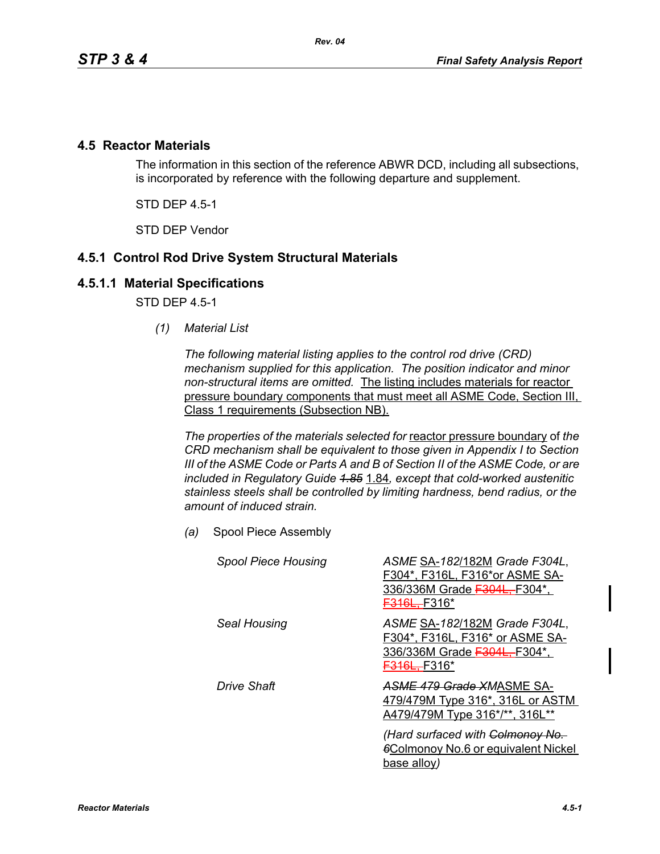### **4.5 Reactor Materials**

The information in this section of the reference ABWR DCD, including all subsections, is incorporated by reference with the following departure and supplement.

STD DEP 4.5-1

STD DEP Vendor

# **4.5.1 Control Rod Drive System Structural Materials**

### **4.5.1.1 Material Specifications**

STD DEP 4.5-1

*(1) Material List*

*The following material listing applies to the control rod drive (CRD) mechanism supplied for this application. The position indicator and minor non-structural items are omitted.* The listing includes materials for reactor pressure boundary components that must meet all ASME Code, Section III, Class 1 requirements (Subsection NB).

*The properties of the materials selected for* reactor pressure boundary of *the CRD mechanism shall be equivalent to those given in Appendix I to Section III of the ASME Code or Parts A and B of Section II of the ASME Code, or are included in Regulatory Guide 1.85* 1.84*, except that cold-worked austenitic stainless steels shall be controlled by limiting hardness, bend radius, or the amount of induced strain.*

*(a)* Spool Piece Assembly

| <b>Spool Piece Housing</b> | ASME SA-182/182M Grade F304L,<br>F304*, F316L, F316*or ASME SA-<br>336/336M Grade F304L, F304*,<br><del>F316L.-</del> F316* |
|----------------------------|-----------------------------------------------------------------------------------------------------------------------------|
| Seal Housing               | ASME SA-182/182M Grade F304L,<br>F304*, F316L, F316* or ASME SA-<br>336/336M Grade F304L, F304*,<br><b>F316L.</b> F316*     |
| Drive Shaft                | ASME 479 Grade XMASME SA-<br>479/479M Type 316*, 316L or ASTM<br>A479/479M Type 316*/**, 316L**                             |
|                            | (Hard surfaced with Colmonoy No.<br><b>Colmonoy No.6 or equivalent Nickel</b><br>base alloy)                                |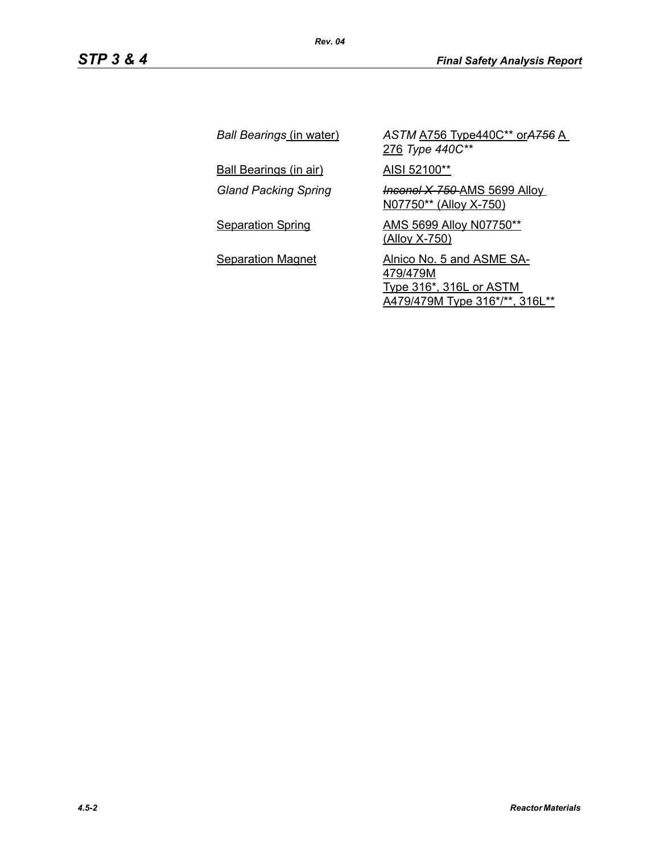| Ball Bearings (in water)      | ASTM A756 Type440C** or A756 A<br>276 Type 440C**                                                         |
|-------------------------------|-----------------------------------------------------------------------------------------------------------|
| <u>Ball Bearings (in air)</u> | AISI 52100**                                                                                              |
| <b>Gland Packing Spring</b>   | <b>Inconel X-750-AMS 5699 Alloy_</b><br>N07750** (Alloy X-750)                                            |
| <b>Separation Spring</b>      | AMS 5699 Alloy N07750**<br><u>(Alloy X-750)</u>                                                           |
| <b>Separation Magnet</b>      | Alnico No. 5 and ASME SA-<br>479/479M<br><b>Type 316*, 316L or ASTM</b><br>A479/479M Type 316*/**, 316L** |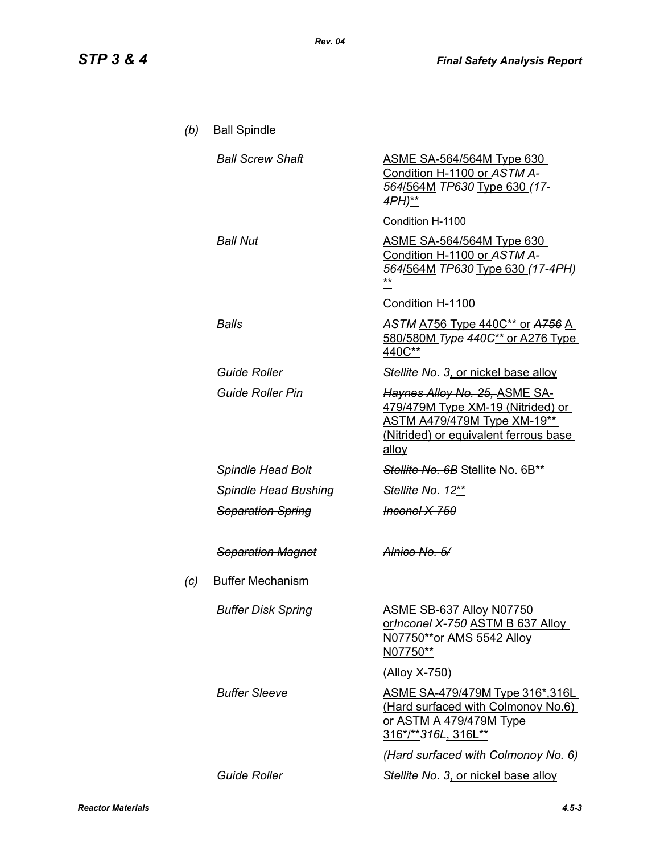| (b) | <b>Ball Spindle</b>       |                                                                                                                                                     |
|-----|---------------------------|-----------------------------------------------------------------------------------------------------------------------------------------------------|
|     | <b>Ball Screw Shaft</b>   | <b>ASME SA-564/564M Type 630</b><br>Condition H-1100 or ASTM A-<br>564/564M TP630 Type 630 (17-<br>4PH)**                                           |
|     |                           | Condition H-1100                                                                                                                                    |
|     | <b>Ball Nut</b>           | <b>ASME SA-564/564M Type 630</b><br>Condition H-1100 or ASTM A-<br>564/564M <del>TP630</del> Type 630 (17-4PH)<br>Condition H-1100                  |
|     | Balls                     | ASTM A756 Type 440C** or A756 A<br>580/580M Type 440C** or A276 Type<br>440C**                                                                      |
|     | <b>Guide Roller</b>       | Stellite No. 3, or nickel base alloy                                                                                                                |
|     | <b>Guide Roller Pin</b>   | Haynes Alloy No. 25, ASME SA-<br>479/479M Type XM-19 (Nitrided) or<br>ASTM A479/479M Type XM-19**<br>(Nitrided) or equivalent ferrous base<br>alloy |
|     | Spindle Head Bolt         | Stellite No. 6B Stellite No. 6B**                                                                                                                   |
|     | Spindle Head Bushing      | Stellite No. 12**                                                                                                                                   |
|     | <b>Separation Spring</b>  | <del>Inconel X-750</del>                                                                                                                            |
|     | <b>Separation Magnet</b>  | Alnico No. 5/                                                                                                                                       |
| (c) | <b>Buffer Mechanism</b>   |                                                                                                                                                     |
|     | <b>Buffer Disk Spring</b> | ASME SB-637 Alloy N07750<br>or Inconel X 750 ASTM B 637 Alloy<br>N07750**or AMS 5542 Alloy<br>N07750**                                              |
|     |                           | (Alloy X-750)                                                                                                                                       |
|     | <b>Buffer Sleeve</b>      | <u>ASME SA-479/479M Type 316*,316L_</u><br>(Hard surfaced with Colmonoy No.6)<br><u>or ASTM A 479/479M Type</u><br>316*/** <del>316L</del> , 316L** |
|     |                           | (Hard surfaced with Colmonoy No. 6)                                                                                                                 |
|     | <b>Guide Roller</b>       | Stellite No. 3, or nickel base alloy                                                                                                                |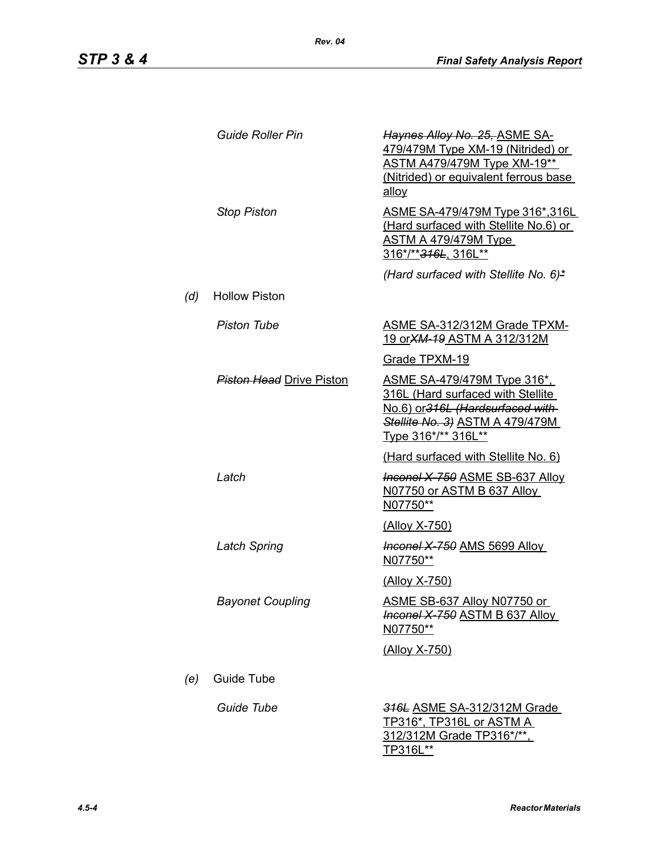|     | <b>Guide Roller Pin</b>         | Haynes Alloy No. 25, ASME SA-<br>479/479M Type XM-19 (Nitrided) or<br><b>ASTM A479/479M Type XM-19**</b><br>(Nitrided) or equivalent ferrous base<br>allov             |
|-----|---------------------------------|------------------------------------------------------------------------------------------------------------------------------------------------------------------------|
|     | <b>Stop Piston</b>              | ASME SA-479/479M Type 316*,316L<br>(Hard surfaced with Stellite No.6) or<br><b>ASTM A 479/479M Type</b><br>316*/** <del>316L</del> , 316L**                            |
|     |                                 | (Hard surfaced with Stellite No. 6)*                                                                                                                                   |
| (d) | <b>Hollow Piston</b>            |                                                                                                                                                                        |
|     | <b>Piston Tube</b>              | <b>ASME SA-312/312M Grade TPXM-</b><br><u>19 or XM-19 ASTM A 312/312M</u>                                                                                              |
|     |                                 | Grade TPXM-19                                                                                                                                                          |
|     | <b>Piston Head Drive Piston</b> | <u>ASME SA-479/479M Type 316*,</u><br>316L (Hard surfaced with Stellite<br>No.6) or 316L (Hardsurfaced with-<br>Stellite No. 3) ASTM A 479/479M<br>Type 316*/** 316L** |
|     |                                 | (Hard surfaced with Stellite No. 6)                                                                                                                                    |
|     | Latch                           | <b>Inconel X 750 ASME SB-637 Alloy</b><br>N07750 or ASTM B 637 Alloy<br>N07750**                                                                                       |
|     |                                 | <u>(Alloy X-750)</u>                                                                                                                                                   |
|     | Latch Spring                    | <b>Heanel X 750 AMS 5699 Alloy</b><br>N07750**                                                                                                                         |
|     |                                 | <u>(Alloy X-750)</u>                                                                                                                                                   |
|     | <b>Bayonet Coupling</b>         | ASME SB-637 Alloy N07750 or<br><b>Inconel X-750 ASTM B 637 Alloy</b><br>N07750**                                                                                       |
|     |                                 | (Alloy X-750)                                                                                                                                                          |
| (e) | Guide Tube                      |                                                                                                                                                                        |
|     | Guide Tube                      | 316L ASME SA-312/312M Grade<br><u>TP316*, TP316L or ASTM A_</u><br>312/312M Grade TP316*/**,<br>TP316L**                                                               |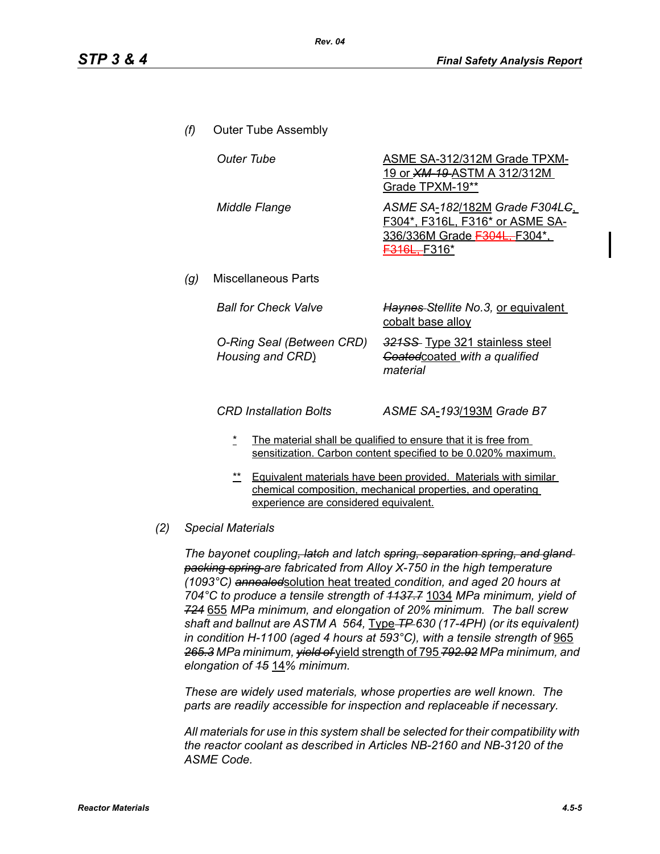- *(f)* Outer Tube Assembly *(g)* Miscellaneous Parts **Outer Tube ASME SA-312/312M Grade TPXM-**19 or *XM-19* ASTM A 312/312M Grade TPXM-19\*\* *Middle Flange ASME SA*-*182*/182M *Grade F304LC*, F304\*, F316L, F316\* or ASME SA-336/336M Grade F304L, F304\*. F316L, F316\* *Ball for Check Valve* **Haynes-Stellite No.3, or equivalent** cobalt base alloy *O-Ring Seal (Between CRD) Housing and CRD*) *321SS* Type 321 stainless steel *Coated*coated *with a qualified material CRD Installation Bolts ASME SA*-*193*/193M *Grade B7*
	- The material shall be qualified to ensure that it is free from sensitization. Carbon content specified to be 0.020% maximum.
	- \*\* Equivalent materials have been provided. Materials with similar chemical composition, mechanical properties, and operating experience are considered equivalent.

#### *(2) Special Materials*

*The bayonet coupling, latch and latch spring, separation spring, and gland packing spring are fabricated from Alloy X-750 in the high temperature (1093°C) annealed*solution heat treated *condition, and aged 20 hours at 704°C to produce a tensile strength of 1137.7* 1034 *MPa minimum, yield of 724* 655 *MPa minimum, and elongation of 20% minimum. The ball screw shaft and ballnut are ASTM A 564,* Type *TP 630 (17-4PH) (or its equivalent) in condition H-1100 (aged 4 hours at 593°C), with a tensile strength of* 965 *265.3 MPa minimum, yield of* yield strength of 795 *792.92 MPa minimum, and elongation of 15* 14*% minimum.*

*These are widely used materials, whose properties are well known. The parts are readily accessible for inspection and replaceable if necessary.*

*All materials for use in this system shall be selected for their compatibility with the reactor coolant as described in Articles NB-2160 and NB-3120 of the ASME Code.*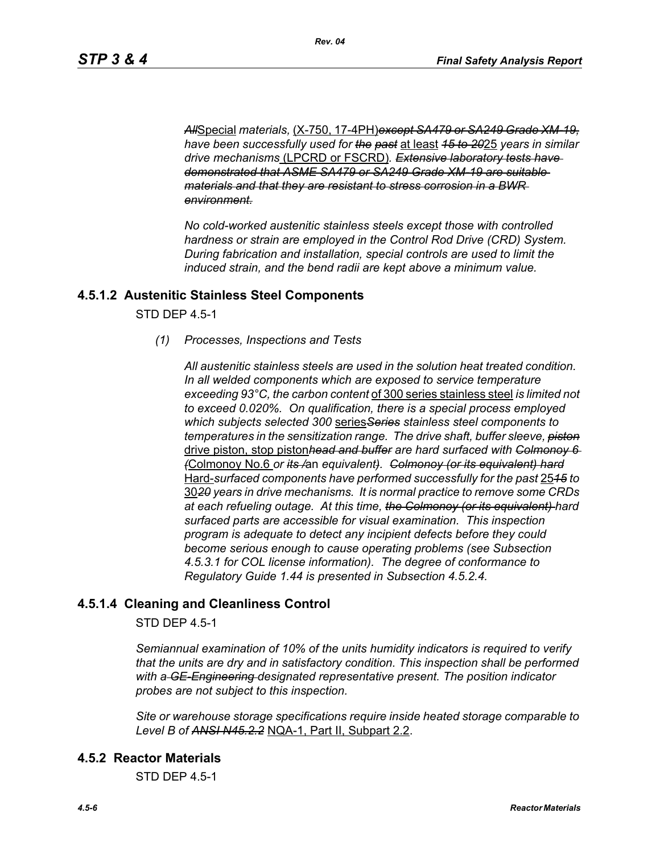*All*Special *materials,* (X-750, 17-4PH)*except SA479 or SA249 Grade XM-19, have been successfully used for the past* at least *15 to 20*25 *years in similar drive mechanisms* (LPCRD or FSCRD)*. Extensive laboratory tests have demonstrated that ASME SA479 or SA249 Grade XM-19 are suitable materials and that they are resistant to stress corrosion in a BWR environment.*

*No cold-worked austenitic stainless steels except those with controlled hardness or strain are employed in the Control Rod Drive (CRD) System. During fabrication and installation, special controls are used to limit the induced strain, and the bend radii are kept above a minimum value.*

#### **4.5.1.2 Austenitic Stainless Steel Components**

STD DEP 4.5-1

*(1) Processes, Inspections and Tests*

*All austenitic stainless steels are used in the solution heat treated condition. In all welded components which are exposed to service temperature exceeding 93°C, the carbon content* of 300 series stainless steel *is limited not to exceed 0.020%. On qualification, there is a special process employed which subjects selected 300* series*Series stainless steel components to temperatures in the sensitization range. The drive shaft, buffer sleeve, piston* drive piston, stop piston*head and buffer are hard surfaced with Colmonoy 6 (*Colmonoy No.6 *or its /*an *equivalent). Colmonoy (or its equivalent) hard* Hard-*surfaced components have performed successfully for the past* 25*15 to* 30*20 years in drive mechanisms. It is normal practice to remove some CRDs at each refueling outage. At this time, the Colmonoy (or its equivalent) hard surfaced parts are accessible for visual examination. This inspection program is adequate to detect any incipient defects before they could become serious enough to cause operating problems (see Subsection 4.5.3.1 for COL license information). The degree of conformance to Regulatory Guide 1.44 is presented in Subsection 4.5.2.4.*

### **4.5.1.4 Cleaning and Cleanliness Control**

STD DEP 4.5-1

*Semiannual examination of 10% of the units humidity indicators is required to verify that the units are dry and in satisfactory condition. This inspection shall be performed with a GE-Engineering designated representative present. The position indicator probes are not subject to this inspection.*

*Site or warehouse storage specifications require inside heated storage comparable to Level B of ANSI N45.2.2* NQA-1, Part II, Subpart 2.2.

#### **4.5.2 Reactor Materials**

STD DEP 4.5-1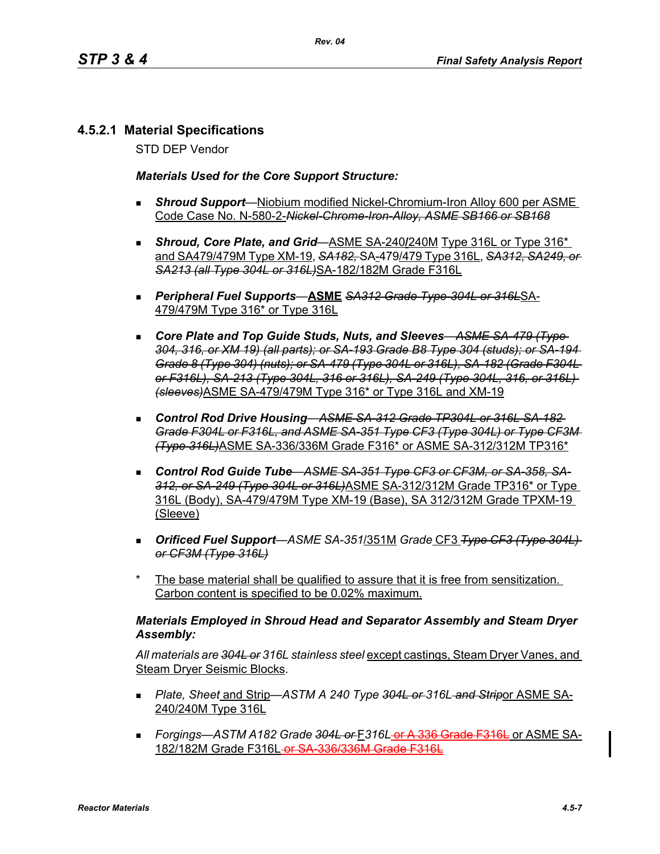# **4.5.2.1 Material Specifications**

STD DEP Vendor

#### *Materials Used for the Core Support Structure:*

- *Shroud Support*—Niobium modified Nickel-Chromium-Iron Alloy 600 per ASME Code Case No. N-580-2-*Nickel-Chrome-Iron-Alloy, ASME SB166 or SB168*
- **Shroud, Core Plate, and Grid—ASME SA-240/240M Type 316L or Type 316<sup>\*</sup>** and SA479/479M Type XM-19, *SA182,* SA-479/479 Type 316L, *SA312, SA249, or SA213 (all Type 304L or 316L)*SA-182/182M Grade F316L
- *Peripheral Fuel Supports*—**ASME** *SA312 Grade Type-304L or 316L*SA-479/479M Type 316\* or Type 316L
- *Core Plate and Top Guide Studs, Nuts, and Sleeves*—*ASME SA-479 (Type 304, 316, or XM 19) (all parts); or SA-193 Grade B8 Type 304 (studs); or SA-194 Grade 8 (Type 304) (nuts); or SA-479 (Type 304L or 316L), SA-182 (Grade F304L or F316L), SA-213 (Type 304L, 316 or 316L), SA-249 (Type 304L, 316, or 316L) (sleeves)*ASME SA-479/479M Type 316\* or Type 316L and XM-19
- *Control Rod Drive Housing*—*ASME SA-312 Grade TP304L or 316L SA-182 Grade F304L or F316L, and ASME SA-351 Type CF3 (Type 304L) or Type CF3M (Type 316L)*ASME SA-336/336M Grade F316\* or ASME SA-312/312M TP316\*
- *Control Rod Guide Tube*—*ASME SA-351 Type CF3 or CF3M, or SA-358, SA-312, or SA-249 (Type 304L or 316L)*ASME SA-312/312M Grade TP316\* or Type 316L (Body), SA-479/479M Type XM-19 (Base), SA 312/312M Grade TPXM-19 (Sleeve)
- *Orificed Fuel Support*—*ASME SA-351*/351M *Grade* CF3 *Type CF3 (Type 304L) or CF3M (Type 316L)*
- The base material shall be qualified to assure that it is free from sensitization. Carbon content is specified to be 0.02% maximum.

#### *Materials Employed in Shroud Head and Separator Assembly and Steam Dryer Assembly:*

*All materials are 304L or 316L stainless steel* except castings, Steam Dryer Vanes, and Steam Dryer Seismic Blocks.

- *Plate, Sheet* and Strip—*ASTM A 240 Type 304L or 316L and Strip*or ASME SA-240/240M Type 316L
- *Forgings—ASTM A182 Grade 304L or* F*316L* or A 336 Grade F316L or ASME SA-182/182M Grade F316L-or SA 336/336M Grade F316L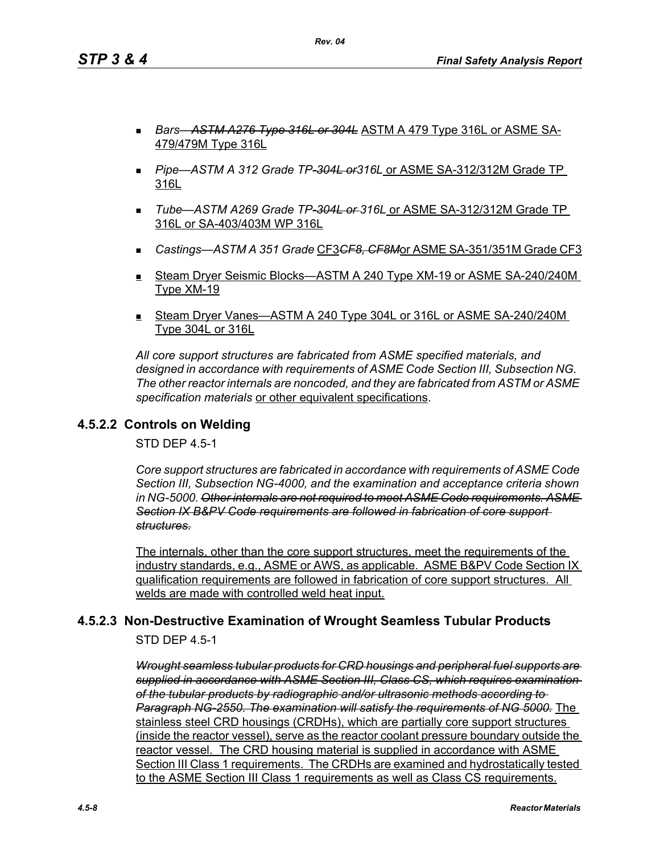- *Bars*—*ASTM A276 Type 316L or 304L* ASTM A 479 Type 316L or ASME SA-479/479M Type 316L
- *Pipe*—*ASTM A 312 Grade TP-304L or316L* or ASME SA-312/312M Grade TP 316L
- *Tube*—*ASTM A269 Grade TP-304L or 316L* or ASME SA-312/312M Grade TP 316L or SA-403/403M WP 316L
- *Castings—ASTM A 351 Grade* CF3*CF8, CF8M*or ASME SA-351/351M Grade CF3
- Steam Dryer Seismic Blocks—ASTM A 240 Type XM-19 or ASME SA-240/240M Type XM-19
- Steam Dryer Vanes—ASTM A 240 Type 304L or 316L or ASME SA-240/240M Type 304L or 316L

*All core support structures are fabricated from ASME specified materials, and designed in accordance with requirements of ASME Code Section III, Subsection NG. The other reactor internals are noncoded, and they are fabricated from ASTM or ASME specification materials* or other equivalent specifications.

# **4.5.2.2 Controls on Welding**

STD DEP 4.5-1

*Core support structures are fabricated in accordance with requirements of ASME Code Section III, Subsection NG-4000, and the examination and acceptance criteria shown in NG-5000. Other internals are not required to meet ASME Code requirements. ASME Section IX B&PV Code requirements are followed in fabrication of core support structures.*

The internals, other than the core support structures, meet the requirements of the industry standards, e.g., ASME or AWS, as applicable. ASME B&PV Code Section IX qualification requirements are followed in fabrication of core support structures. All welds are made with controlled weld heat input.

# **4.5.2.3 Non-Destructive Examination of Wrought Seamless Tubular Products**

STD DEP 4.5-1

*Wrought seamless tubular products for CRD housings and peripheral fuel supports are supplied in accordance with ASME Section III, Class CS, which requires examination of the tubular products by radiographic and/or ultrasonic methods according to Paragraph NG-2550. The examination will satisfy the requirements of NG 5000.* The stainless steel CRD housings (CRDHs), which are partially core support structures (inside the reactor vessel), serve as the reactor coolant pressure boundary outside the reactor vessel. The CRD housing material is supplied in accordance with ASME Section III Class 1 requirements. The CRDHs are examined and hydrostatically tested to the ASME Section III Class 1 requirements as well as Class CS requirements.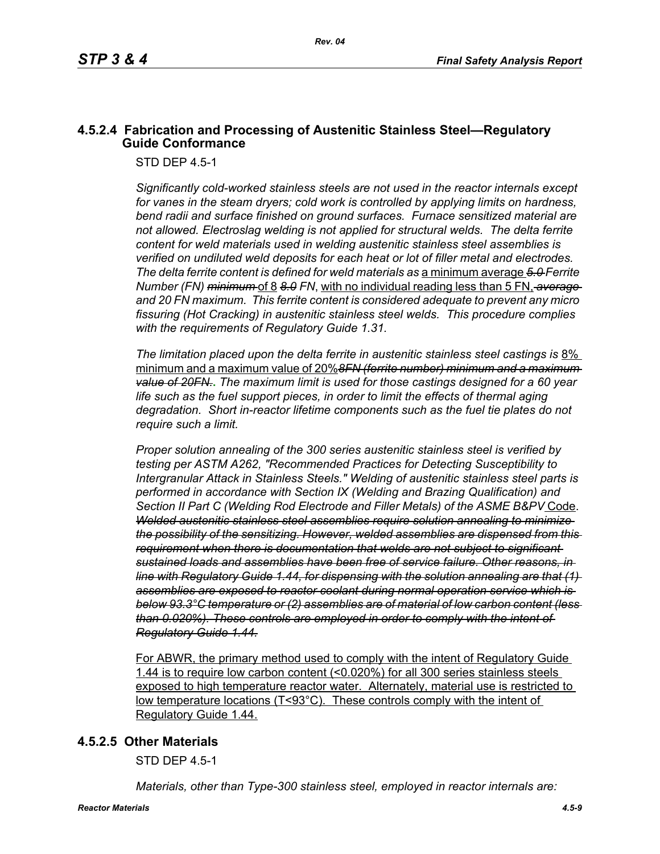# **4.5.2.4 Fabrication and Processing of Austenitic Stainless Steel—Regulatory Guide Conformance**

STD DEP 4.5-1

*Significantly cold-worked stainless steels are not used in the reactor internals except for vanes in the steam dryers; cold work is controlled by applying limits on hardness, bend radii and surface finished on ground surfaces. Furnace sensitized material are not allowed. Electroslag welding is not applied for structural welds. The delta ferrite content for weld materials used in welding austenitic stainless steel assemblies is verified on undiluted weld deposits for each heat or lot of filler metal and electrodes. The delta ferrite content is defined for weld materials as* a minimum average *5.0 Ferrite Number (FN) minimum* of 8 *8.0 FN*, with no individual reading less than 5 FN, *average and 20 FN maximum. This ferrite content is considered adequate to prevent any micro fissuring (Hot Cracking) in austenitic stainless steel welds. This procedure complies with the requirements of Regulatory Guide 1.31.*

*The limitation placed upon the delta ferrite in austenitic stainless steel castings is* 8% minimum and a maximum value of 20%*8FN (ferrite number) minimum and a maximum value of 20FN.***.** *The maximum limit is used for those castings designed for a 60 year life such as the fuel support pieces, in order to limit the effects of thermal aging degradation. Short in-reactor lifetime components such as the fuel tie plates do not require such a limit.*

*Proper solution annealing of the 300 series austenitic stainless steel is verified by testing per ASTM A262, "Recommended Practices for Detecting Susceptibility to Intergranular Attack in Stainless Steels." Welding of austenitic stainless steel parts is performed in accordance with Section IX (Welding and Brazing Qualification) and Section II Part C (Welding Rod Electrode and Filler Metals) of the ASME B&PV* Code. *Welded austenitic stainless steel assemblies require solution annealing to minimize the possibility of the sensitizing. However, welded assemblies are dispensed from this requirement when there is documentation that welds are not subject to significant sustained loads and assemblies have been free of service failure. Other reasons, in line with Regulatory Guide 1.44, for dispensing with the solution annealing are that (1) assemblies are exposed to reactor coolant during normal operation service which is below 93.3°C temperature or (2) assemblies are of material of low carbon content (less than 0.020%). These controls are employed in order to comply with the intent of Regulatory Guide 1.44.*

For ABWR, the primary method used to comply with the intent of Regulatory Guide 1.44 is to require low carbon content (<0.020%) for all 300 series stainless steels exposed to high temperature reactor water. Alternately, material use is restricted to low temperature locations (T<93°C). These controls comply with the intent of Regulatory Guide 1.44.

### **4.5.2.5 Other Materials**

STD DEP 4.5-1

*Materials, other than Type-300 stainless steel, employed in reactor internals are:*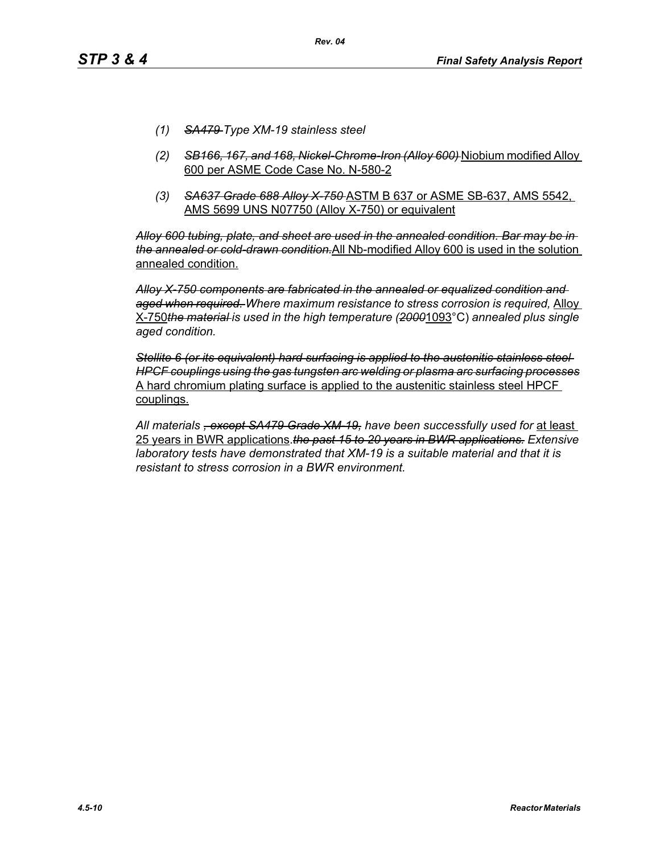- *(1) SA479 Type XM-19 stainless steel*
- *(2) SB166, 167, and 168, Nickel-Chrome-Iron (Alloy 600)* Niobium modified Alloy 600 per ASME Code Case No. N-580-2
- *(3) SA637 Grade 688 Alloy X-750* ASTM B 637 or ASME SB-637, AMS 5542, AMS 5699 UNS N07750 (Alloy X-750) or equivalent

*Alloy 600 tubing, plate, and sheet are used in the annealed condition. Bar may be in the annealed or cold-drawn condition.*All Nb-modified Alloy 600 is used in the solution annealed condition.

*Alloy X-750 components are fabricated in the annealed or equalized condition and aged when required. Where maximum resistance to stress corrosion is required,* Alloy X-750*the material is used in the high temperature (2000*1093°C) *annealed plus single aged condition.*

*Stellite 6 (or its equivalent) hard surfacing is applied to the austenitic stainless steel HPCF couplings using the gas tungsten arc welding or plasma arc surfacing processes* A hard chromium plating surface is applied to the austenitic stainless steel HPCF couplings.

*All materials , except SA479 Grade XM-19, have been successfully used for* at least 25 years in BWR applications.*the past 15 to 20 years in BWR applications. Extensive laboratory tests have demonstrated that XM-19 is a suitable material and that it is resistant to stress corrosion in a BWR environment.*